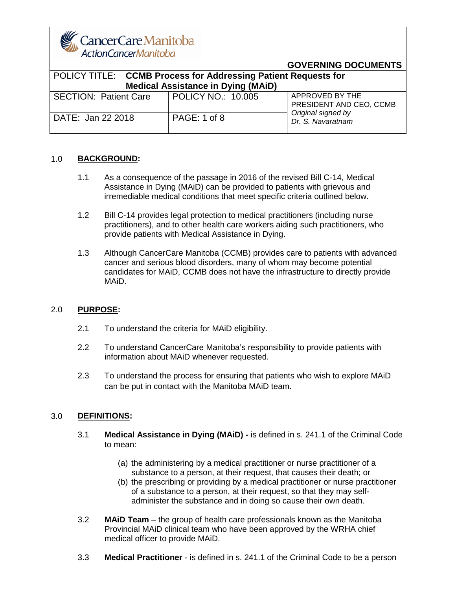CancerCareManitoba ActionCancerManitoba

#### **GOVERNING DOCUMENTS**

| POLICY TITLE: CCMB Process for Addressing Patient Requests for<br><b>Medical Assistance in Dying (MAiD)</b> |                    |                                            |
|-------------------------------------------------------------------------------------------------------------|--------------------|--------------------------------------------|
| <b>SECTION: Patient Care</b>                                                                                | POLICY NO.: 10.005 | APPROVED BY THE<br>PRESIDENT AND CEO, CCMB |
| DATE: Jan 22 2018                                                                                           | PAGE: 1 of 8       | Original signed by<br>Dr. S. Navaratnam    |

#### 1.0 **BACKGROUND:**

- 1.1 As a consequence of the passage in 2016 of the revised Bill C-14, Medical Assistance in Dying (MAiD) can be provided to patients with grievous and irremediable medical conditions that meet specific criteria outlined below.
- 1.2 Bill C-14 provides legal protection to medical practitioners (including nurse practitioners), and to other health care workers aiding such practitioners, who provide patients with Medical Assistance in Dying.
- 1.3 Although CancerCare Manitoba (CCMB) provides care to patients with advanced cancer and serious blood disorders, many of whom may become potential candidates for MAiD, CCMB does not have the infrastructure to directly provide MAiD.

#### 2.0 **PURPOSE:**

- 2.1 To understand the criteria for MAiD eligibility.
- 2.2 To understand CancerCare Manitoba's responsibility to provide patients with information about MAiD whenever requested.
- 2.3 To understand the process for ensuring that patients who wish to explore MAiD can be put in contact with the Manitoba MAiD team.

#### 3.0 **DEFINITIONS:**

- 3.1 **Medical Assistance in Dying (MAiD) -** is defined in s. 241.1 of the Criminal Code to mean:
	- (a) the administering by a medical practitioner or nurse practitioner of a substance to a person, at their request, that causes their death; or
	- (b) the prescribing or providing by a medical practitioner or nurse practitioner of a substance to a person, at their request, so that they may selfadminister the substance and in doing so cause their own death.
- 3.2 **MAiD Team** the group of health care professionals known as the Manitoba Provincial MAiD clinical team who have been approved by the WRHA chief medical officer to provide MAiD.
- 3.3 **Medical Practitioner**  is defined in s. 241.1 of the Criminal Code to be a person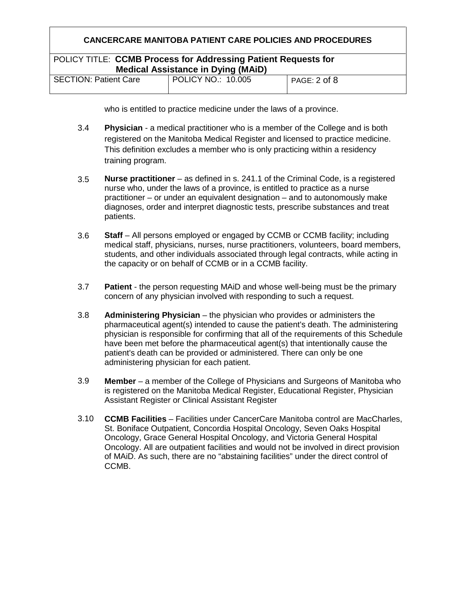# **CANCERCARE MANITOBA PATIENT CARE POLICIES AND PROCEDURES** POLICY TITLE: **CCMB Process for Addressing Patient Requests for Medical Assistance in Dying (MAiD)** SECTION: Patient Care | POLICY NO.: 10.005 | PAGE: 2 of 8

who is entitled to practice medicine under the laws of a province.

- 3.4 **Physician** - a medical practitioner who is a member of the College and is both registered on the Manitoba Medical Register and licensed to practice medicine. This definition excludes a member who is only practicing within a residency training program.
- 3.5 **Nurse practitioner** – as defined in s. 241.1 of the Criminal Code, is a registered nurse who, under the laws of a province, is entitled to practice as a nurse practitioner – or under an equivalent designation – and to autonomously make diagnoses, order and interpret diagnostic tests, prescribe substances and treat patients.
- 3.6 **Staff** – All persons employed or engaged by CCMB or CCMB facility; including medical staff, physicians, nurses, nurse practitioners, volunteers, board members, students, and other individuals associated through legal contracts, while acting in the capacity or on behalf of CCMB or in a CCMB facility.
- 3.7 **Patient** - the person requesting MAID and whose well-being must be the primary concern of any physician involved with responding to such a request.
- 3.8 **Administering Physician** – the physician who provides or administers the pharmaceutical agent(s) intended to cause the patient's death. The administering physician is responsible for confirming that all of the requirements of this Schedule have been met before the pharmaceutical agent(s) that intentionally cause the patient's death can be provided or administered. There can only be one administering physician for each patient.
- 3.9 **Member** – a member of the College of Physicians and Surgeons of Manitoba who is registered on the Manitoba Medical Register, Educational Register, Physician Assistant Register or Clinical Assistant Register
- 3.10 **CCMB Facilities** – Facilities under CancerCare Manitoba control are MacCharles, St. Boniface Outpatient, Concordia Hospital Oncology, Seven Oaks Hospital Oncology, Grace General Hospital Oncology, and Victoria General Hospital Oncology. All are outpatient facilities and would not be involved in direct provision of MAiD. As such, there are no "abstaining facilities" under the direct control of CCMB.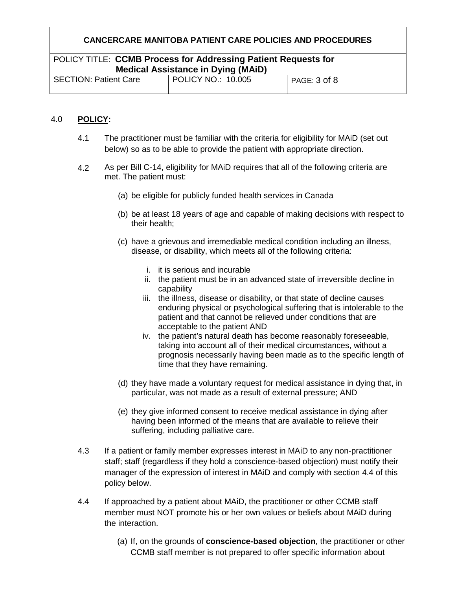## POLICY TITLE: **CCMB Process for Addressing Patient Requests for Medical Assistance in Dying (MAiD)**

| $1119$ and $1110$ and $10010$ and $1110$ and $1111$ and $111$ |                           |              |  |
|---------------------------------------------------------------|---------------------------|--------------|--|
| <b>SECTION: Patient Care</b>                                  | <b>POLICY NO.: 10.005</b> | PAGE: 3 of 8 |  |
|                                                               |                           |              |  |

#### 4.0 **POLICY:**

- 4.1 The practitioner must be familiar with the criteria for eligibility for MAiD (set out below) so as to be able to provide the patient with appropriate direction.
- 4.2 As per Bill C-14, eligibility for MAiD requires that all of the following criteria are met. The patient must:
	- (a) be eligible for publicly funded health services in Canada
	- (b) be at least 18 years of age and capable of making decisions with respect to their health;
	- (c) have a grievous and irremediable medical condition including an illness, disease, or disability, which meets all of the following criteria:
		- i. it is serious and incurable
		- ii. the patient must be in an advanced state of irreversible decline in capability
		- iii. the illness, disease or disability, or that state of decline causes enduring physical or psychological suffering that is intolerable to the patient and that cannot be relieved under conditions that are acceptable to the patient AND
		- iv. the patient's natural death has become reasonably foreseeable, taking into account all of their medical circumstances, without a prognosis necessarily having been made as to the specific length of time that they have remaining.
	- (d) they have made a voluntary request for medical assistance in dying that, in particular, was not made as a result of external pressure; AND
	- (e) they give informed consent to receive medical assistance in dying after having been informed of the means that are available to relieve their suffering, including palliative care.
- 4.3 If a patient or family member expresses interest in MAiD to any non-practitioner staff; staff (regardless if they hold a conscience-based objection) must notify their manager of the expression of interest in MAiD and comply with section 4.4 of this policy below.
- 4.4 If approached by a patient about MAiD, the practitioner or other CCMB staff member must NOT promote his or her own values or beliefs about MAiD during the interaction.
	- (a) If, on the grounds of **conscience-based objection**, the practitioner or other CCMB staff member is not prepared to offer specific information about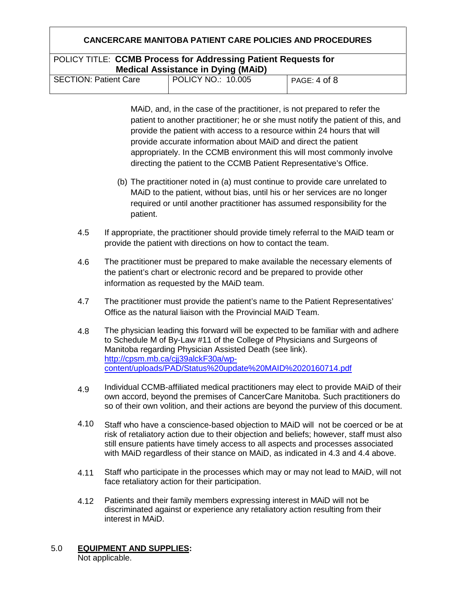## POLICY TITLE: **CCMB Process for Addressing Patient Requests for Medical Assistance in Dying (MAiD)**

| $\frac{1}{2}$                |                           |              |  |
|------------------------------|---------------------------|--------------|--|
| <b>SECTION: Patient Care</b> | <b>POLICY NO.: 10.005</b> | PAGE: 4 of 8 |  |
|                              |                           |              |  |

MAiD, and, in the case of the practitioner, is not prepared to refer the patient to another practitioner; he or she must notify the patient of this, and provide the patient with access to a resource within 24 hours that will provide accurate information about MAiD and direct the patient appropriately. In the CCMB environment this will most commonly involve directing the patient to the CCMB Patient Representative's Office.

- (b) The practitioner noted in (a) must continue to provide care unrelated to MAiD to the patient, without bias, until his or her services are no longer required or until another practitioner has assumed responsibility for the patient.
- 4.5 If appropriate, the practitioner should provide timely referral to the MAiD team or provide the patient with directions on how to contact the team.
- 4.6 The practitioner must be prepared to make available the necessary elements of the patient's chart or electronic record and be prepared to provide other information as requested by the MAiD team.
- 4.7 The practitioner must provide the patient's name to the Patient Representatives' Office as the natural liaison with the Provincial MAiD Team.
- 4.8 The physician leading this forward will be expected to be familiar with and adhere to Schedule M of By-Law #11 of the College of Physicians and Surgeons of Manitoba regarding Physician Assisted Death (see link). [http://cpsm.mb.ca/cjj39alckF30a/wp](http://cpsm.mb.ca/cjj39alckF30a/wp-content/uploads/PAD/Status%20update%20MAID%2020160714.pdf)[content/uploads/PAD/Status%20update%20MAID%2020160714.pdf](http://cpsm.mb.ca/cjj39alckF30a/wp-content/uploads/PAD/Status%20update%20MAID%2020160714.pdf)
- 4.9 Individual CCMB-affiliated medical practitioners may elect to provide MAiD of their own accord, beyond the premises of CancerCare Manitoba. Such practitioners do so of their own volition, and their actions are beyond the purview of this document.
- 4.10 Staff who have a conscience-based objection to MAiD will not be coerced or be at risk of retaliatory action due to their objection and beliefs; however, staff must also still ensure patients have timely access to all aspects and processes associated with MAiD regardless of their stance on MAiD, as indicated in 4.3 and 4.4 above.
- 4.11 Staff who participate in the processes which may or may not lead to MAiD, will not face retaliatory action for their participation.
- 4.12 Patients and their family members expressing interest in MAiD will not be discriminated against or experience any retaliatory action resulting from their interest in MAiD.
- 5.0 **EQUIPMENT AND SUPPLIES:** Not applicable.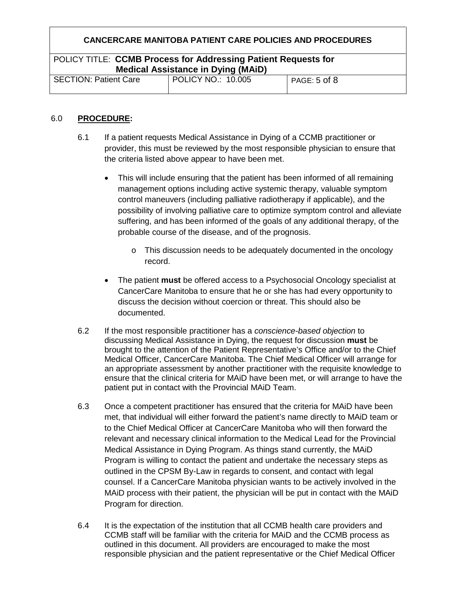## POLICY TITLE: **CCMB Process for Addressing Patient Requests for Medical Assistance in Dying (MAiD)**

| <b>SECTION: Patient Care</b> | POLICY NO.: 10.005 | PAGE: 5 of 8 |  |  |
|------------------------------|--------------------|--------------|--|--|
|                              |                    |              |  |  |

#### 6.0 **PROCEDURE:**

- 6.1 If a patient requests Medical Assistance in Dying of a CCMB practitioner or provider, this must be reviewed by the most responsible physician to ensure that the criteria listed above appear to have been met.
	- This will include ensuring that the patient has been informed of all remaining management options including active systemic therapy, valuable symptom control maneuvers (including palliative radiotherapy if applicable), and the possibility of involving palliative care to optimize symptom control and alleviate suffering, and has been informed of the goals of any additional therapy, of the probable course of the disease, and of the prognosis.
		- o This discussion needs to be adequately documented in the oncology record.
	- The patient **must** be offered access to a Psychosocial Oncology specialist at CancerCare Manitoba to ensure that he or she has had every opportunity to discuss the decision without coercion or threat. This should also be documented.
- 6.2 If the most responsible practitioner has a *conscience-based objection* to discussing Medical Assistance in Dying, the request for discussion **must** be brought to the attention of the Patient Representative's Office and/or to the Chief Medical Officer, CancerCare Manitoba. The Chief Medical Officer will arrange for an appropriate assessment by another practitioner with the requisite knowledge to ensure that the clinical criteria for MAiD have been met, or will arrange to have the patient put in contact with the Provincial MAiD Team.
- 6.3 Once a competent practitioner has ensured that the criteria for MAiD have been met, that individual will either forward the patient's name directly to MAiD team or to the Chief Medical Officer at CancerCare Manitoba who will then forward the relevant and necessary clinical information to the Medical Lead for the Provincial Medical Assistance in Dying Program. As things stand currently, the MAiD Program is willing to contact the patient and undertake the necessary steps as outlined in the CPSM By-Law in regards to consent, and contact with legal counsel. If a CancerCare Manitoba physician wants to be actively involved in the MAiD process with their patient, the physician will be put in contact with the MAiD Program for direction.
- 6.4 It is the expectation of the institution that all CCMB health care providers and CCMB staff will be familiar with the criteria for MAiD and the CCMB process as outlined in this document. All providers are encouraged to make the most responsible physician and the patient representative or the Chief Medical Officer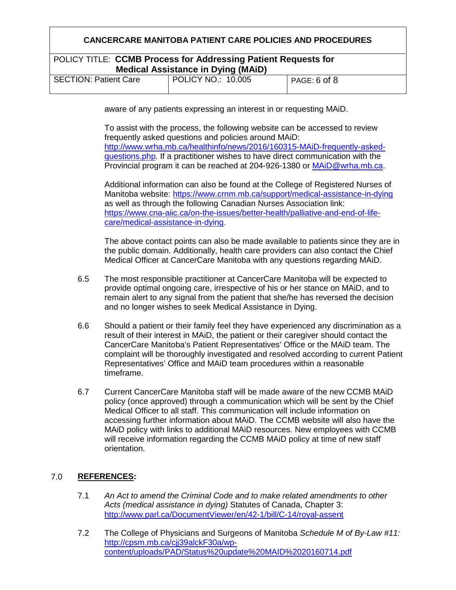## POLICY TITLE: **CCMB Process for Addressing Patient Requests for Medical Assistance in Dying (MAiD)**

| <b>SECTION: Patient Care</b> | <b>POLICY NO.: 10.005</b> | PAGE: 6 of 8 |  |  |
|------------------------------|---------------------------|--------------|--|--|
|                              |                           |              |  |  |

aware of any patients expressing an interest in or requesting MAiD.

To assist with the process, the following website can be accessed to review frequently asked questions and policies around MAiD: [http://www.wrha.mb.ca/healthinfo/news/2016/160315-MAiD-frequently-asked](http://www.wrha.mb.ca/healthinfo/news/2016/160315-maid-frequently-asked-questions.php)[questions.php.](http://www.wrha.mb.ca/healthinfo/news/2016/160315-maid-frequently-asked-questions.php) If a practitioner wishes to have direct communication with the Provincial program it can be reached at 204-926-1380 or [MAiD@wrha.mb.ca.](mailto:maid@wrha.mb.ca)

Additional information can also be found at the College of Registered Nurses of Manitoba website:<https://www.crnm.mb.ca/support/medical-assistance-in-dying> as well as through the following Canadian Nurses Association link: [https://www.cna-aiic.ca/on-the-issues/better-health/palliative-and-end-of-life](https://www.cna-aiic.ca/on-the-issues/better-health/palliative-and-end-of-life-care/medical-assistance-in-dying)[care/medical-assistance-in-dying.](https://www.cna-aiic.ca/on-the-issues/better-health/palliative-and-end-of-life-care/medical-assistance-in-dying)

The above contact points can also be made available to patients since they are in the public domain. Additionally, health care providers can also contact the Chief Medical Officer at CancerCare Manitoba with any questions regarding MAiD.

- 6.5 The most responsible practitioner at CancerCare Manitoba will be expected to provide optimal ongoing care, irrespective of his or her stance on MAiD, and to remain alert to any signal from the patient that she/he has reversed the decision and no longer wishes to seek Medical Assistance in Dying.
- 6.6 Should a patient or their family feel they have experienced any discrimination as a result of their interest in MAiD, the patient or their caregiver should contact the CancerCare Manitoba's Patient Representatives' Office or the MAiD team. The complaint will be thoroughly investigated and resolved according to current Patient Representatives' Office and MAiD team procedures within a reasonable timeframe.
- 6.7 Current CancerCare Manitoba staff will be made aware of the new CCMB MAiD policy (once approved) through a communication which will be sent by the Chief Medical Officer to all staff. This communication will include information on accessing further information about MAiD. The CCMB website will also have the MAiD policy with links to additional MAiD resources. New employees with CCMB will receive information regarding the CCMB MAiD policy at time of new staff orientation.

#### 7.0 **REFERENCES:**

- 7.1 *An Act to amend the Criminal Code and to make related amendments to other Acts (medical assistance in dying)* Statutes of Canada, Chapter 3: <http://www.parl.ca/DocumentViewer/en/42-1/bill/C-14/royal-assent>
- 7.2 The College of Physicians and Surgeons of Manitoba *Schedule M of By-Law #11:*  [http://cpsm.mb.ca/cjj39alckF30a/wp](http://cpsm.mb.ca/cjj39alckF30a/wp-content/uploads/PAD/Status%20update%20MAID%2020160714.pdf)[content/uploads/PAD/Status%20update%20MAID%2020160714.pdf](http://cpsm.mb.ca/cjj39alckF30a/wp-content/uploads/PAD/Status%20update%20MAID%2020160714.pdf)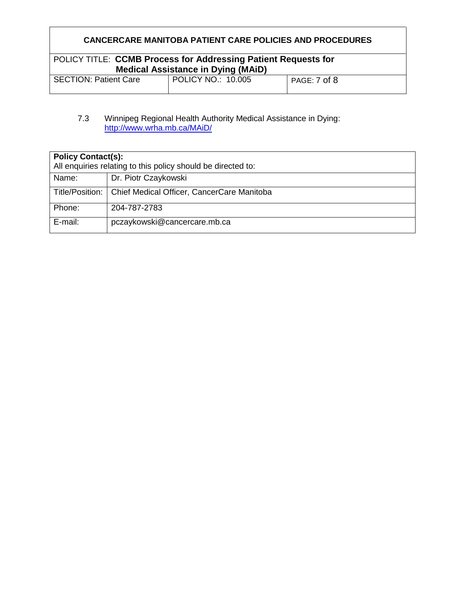# POLICY TITLE: **CCMB Process for Addressing Patient Requests for Medical Assistance in Dying (MAiD)**

| <b>SECTION: Patient Care</b> | POLICY NO.: 10.005 | PAGE: 7 of 8 |  |
|------------------------------|--------------------|--------------|--|

#### 7.3 Winnipeg Regional Health Authority Medical Assistance in Dying: [http://www.wrha.mb.ca/MAiD/](http://www.wrha.mb.ca/maid/)

| <b>Policy Contact(s):</b><br>All enquiries relating to this policy should be directed to: |                                            |  |
|-------------------------------------------------------------------------------------------|--------------------------------------------|--|
| Name:                                                                                     | Dr. Piotr Czaykowski                       |  |
| Title/Position:                                                                           | Chief Medical Officer, CancerCare Manitoba |  |
| Phone:                                                                                    | 204-787-2783                               |  |
| E-mail:                                                                                   | pczaykowski@cancercare.mb.ca               |  |